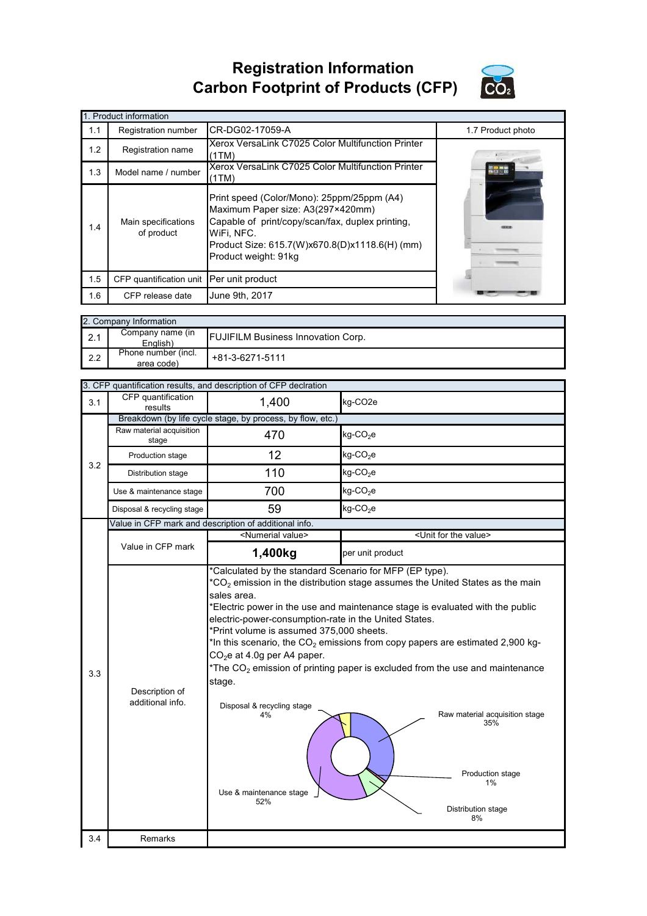## **Registration Information Carbon Footprint of Products (CFP)**



|     | 1. Product information                   |                                                                                                                                                                                                                             |                   |  |  |  |
|-----|------------------------------------------|-----------------------------------------------------------------------------------------------------------------------------------------------------------------------------------------------------------------------------|-------------------|--|--|--|
| 1.1 | Registration number                      | CR-DG02-17059-A                                                                                                                                                                                                             | 1.7 Product photo |  |  |  |
| 1.2 | Registration name                        | Xerox VersaLink C7025 Color Multifunction Printer<br>(1TM)                                                                                                                                                                  |                   |  |  |  |
| 1.3 | Model name / number                      | Xerox VersaLink C7025 Color Multifunction Printer<br>(1TM)                                                                                                                                                                  |                   |  |  |  |
| 1.4 | Main specifications<br>of product        | Print speed (Color/Mono): 25ppm/25ppm (A4)<br>Maximum Paper size: A3(297×420mm)<br>Capable of print/copy/scan/fax, duplex printing,<br>WiFi, NFC.<br>Product Size: 615.7(W)x670.8(D)x1118.6(H) (mm)<br>Product weight: 91kg |                   |  |  |  |
| 1.5 | CFP quantification unit Per unit product |                                                                                                                                                                                                                             |                   |  |  |  |
| 1.6 | CFP release date                         | June 9th, 2017                                                                                                                                                                                                              |                   |  |  |  |

|     | 2. Company Information            |                                           |  |  |  |
|-----|-----------------------------------|-------------------------------------------|--|--|--|
| 2.1 | Company name (in<br>English)      | <b>FUJIFILM Business Innovation Corp.</b> |  |  |  |
| 2.2 | Phone number (incl.<br>area code) | +81-3-6271-5111                           |  |  |  |

|     | 3. CFP quantification results, and description of CFP declration |                                                                                                                                                                                                                                                                                                                                                                                                                                                                                                                                                                                                                                                                                                                                            |                                      |  |  |
|-----|------------------------------------------------------------------|--------------------------------------------------------------------------------------------------------------------------------------------------------------------------------------------------------------------------------------------------------------------------------------------------------------------------------------------------------------------------------------------------------------------------------------------------------------------------------------------------------------------------------------------------------------------------------------------------------------------------------------------------------------------------------------------------------------------------------------------|--------------------------------------|--|--|
| 3.1 | CFP quantification<br>results                                    | 1,400                                                                                                                                                                                                                                                                                                                                                                                                                                                                                                                                                                                                                                                                                                                                      | kg-CO <sub>2e</sub>                  |  |  |
|     |                                                                  | Breakdown (by life cycle stage, by process, by flow, etc.)                                                                                                                                                                                                                                                                                                                                                                                                                                                                                                                                                                                                                                                                                 |                                      |  |  |
|     | Raw material acquisition<br>stage                                | 470                                                                                                                                                                                                                                                                                                                                                                                                                                                                                                                                                                                                                                                                                                                                        | $kg$ -CO <sub>2</sub> e              |  |  |
| 3.2 | Production stage                                                 | 12                                                                                                                                                                                                                                                                                                                                                                                                                                                                                                                                                                                                                                                                                                                                         | $kg$ -CO <sub>2</sub> e              |  |  |
|     | Distribution stage                                               | 110                                                                                                                                                                                                                                                                                                                                                                                                                                                                                                                                                                                                                                                                                                                                        | $kg$ -CO <sub>2</sub> e              |  |  |
|     | Use & maintenance stage                                          | 700                                                                                                                                                                                                                                                                                                                                                                                                                                                                                                                                                                                                                                                                                                                                        | $kg$ -CO <sub>2</sub> e              |  |  |
|     | Disposal & recycling stage                                       | 59                                                                                                                                                                                                                                                                                                                                                                                                                                                                                                                                                                                                                                                                                                                                         | $kg$ -CO <sub>2</sub> e              |  |  |
|     |                                                                  | Value in CFP mark and description of additional info.                                                                                                                                                                                                                                                                                                                                                                                                                                                                                                                                                                                                                                                                                      |                                      |  |  |
|     |                                                                  | <numerial value=""></numerial>                                                                                                                                                                                                                                                                                                                                                                                                                                                                                                                                                                                                                                                                                                             | <unit for="" the="" value=""></unit> |  |  |
|     | Value in CFP mark                                                | 1,400kg                                                                                                                                                                                                                                                                                                                                                                                                                                                                                                                                                                                                                                                                                                                                    | per unit product                     |  |  |
| 3.3 | Description of<br>additional info.                               | *Calculated by the standard Scenario for MFP (EP type).<br>$*$ CO <sub>2</sub> emission in the distribution stage assumes the United States as the main<br>sales area.<br>*Electric power in the use and maintenance stage is evaluated with the public<br>electric-power-consumption-rate in the United States.<br>*Print volume is assumed 375,000 sheets.<br>*In this scenario, the $CO2$ emissions from copy papers are estimated 2,900 kg-<br>$CO2e$ at 4.0g per A4 paper.<br>*The $CO2$ emission of printing paper is excluded from the use and maintenance<br>stage.<br>Disposal & recycling stage<br>Raw material acquisition stage<br>4%<br>35%<br>Production stage<br>1%<br>Use & maintenance stage<br>52%<br>Distribution stage |                                      |  |  |
| 3.4 | Remarks                                                          |                                                                                                                                                                                                                                                                                                                                                                                                                                                                                                                                                                                                                                                                                                                                            |                                      |  |  |
|     |                                                                  |                                                                                                                                                                                                                                                                                                                                                                                                                                                                                                                                                                                                                                                                                                                                            |                                      |  |  |